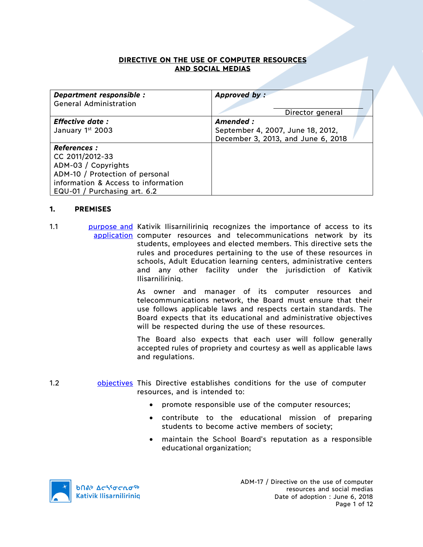### **DIRECTIVE ON THE USE OF COMPUTER RESOURCES AND SOCIAL MEDIAS**

| Department responsible :<br><b>General Administration</b> | Approved by:                       |
|-----------------------------------------------------------|------------------------------------|
|                                                           | Director general                   |
|                                                           |                                    |
| <b>Effective date:</b>                                    | Amended:                           |
| January 1st 2003                                          | September 4, 2007, June 18, 2012,  |
|                                                           | December 3, 2013, and June 6, 2018 |
| <b>References :</b>                                       |                                    |
| CC 2011/2012-33                                           |                                    |
| ADM-03 / Copyrights                                       |                                    |
| ADM-10 / Protection of personal                           |                                    |
| information & Access to information                       |                                    |
| EQU-01 / Purchasing art. 6.2                              |                                    |

#### **1. PREMISES**

1.1 **purpose and Kativik Ilisarniliriniq recognizes the importance of access to its** application computer resources and telecommunications network by its students, employees and elected members. This directive sets the rules and procedures pertaining to the use of these resources in schools, Adult Education learning centers, administrative centers and any other facility under the jurisdiction of Kativik Ilisarniliriniq.

> As owner and manager of its computer resources and telecommunications network, the Board must ensure that their use follows applicable laws and respects certain standards. The Board expects that its educational and administrative objectives will be respected during the use of these resources.

> The Board also expects that each user will follow generally accepted rules of propriety and courtesy as well as applicable laws and regulations.

- 1.2 **b** objectives This Directive establishes conditions for the use of computer resources, and is intended to:
	- promote responsible use of the computer resources;
	- contribute to the educational mission of preparing students to become active members of society;
	- maintain the School Board's reputation as a responsible educational organization;

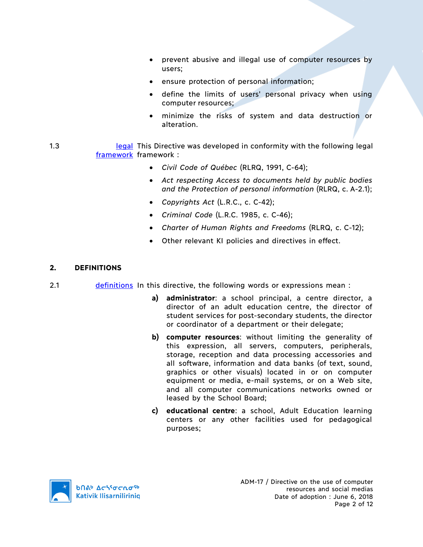- prevent abusive and illegal use of computer resources by users;
- ensure protection of personal information;
- define the limits of users' personal privacy when using computer resources;
- minimize the risks of system and data destruction or alteration.
- 1.3 **Iournal Example 2.1 In** legal This Directive was developed in conformity with the following legal framework framework:
	- *Civil Code of Québec* (RLRQ, 1991, C-64);
	- *Act respecting Access to documents held by public bodies and the Protection of personal information* (RLRQ, c. A-2.1);
	- *Copyrights Act* (L.R.C., c. C-42);
	- *Criminal Code* (L.R.C. 1985, c. C-46);
	- *Charter of Human Rights and Freedoms* (RLRQ, c. C-12);
	- Other relevant KI policies and directives in effect.

### **2. DEFINITIONS**

- 2.1 definitions In this directive, the following words or expressions mean :
	- **a) administrator**: a school principal, a centre director, a director of an adult education centre, the director of student services for post-secondary students, the director or coordinator of a department or their delegate;
	- **b) computer resources**: without limiting the generality of this expression, all servers, computers, peripherals, storage, reception and data processing accessories and all software, information and data banks (of text, sound, graphics or other visuals) located in or on computer equipment or media, e-mail systems, or on a Web site, and all computer communications networks owned or leased by the School Board;
	- **c) educational centre**: a school, Adult Education learning centers or any other facilities used for pedagogical purposes;

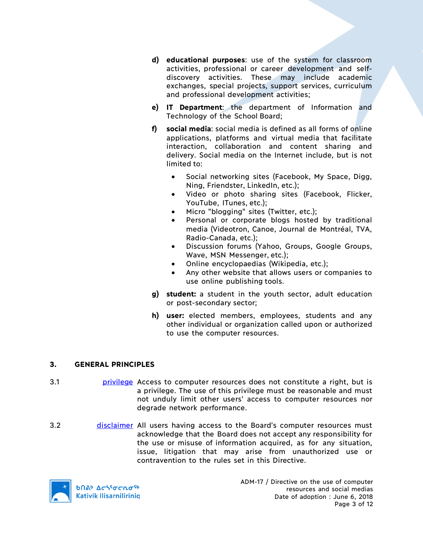- **d) educational purposes**: use of the system for classroom activities, professional or career development and selfdiscovery activities. These may include academic exchanges, special projects, support services, curriculum and professional development activities;
- **e) IT Department**: the department of Information and Technology of the School Board;
- **f) social media**: social media is defined as all forms of online applications, platforms and virtual media that facilitate interaction, collaboration and content sharing and delivery. Social media on the Internet include, but is not limited to:
	- Social networking sites (Facebook, My Space, Digg, Ning, Friendster, LinkedIn, etc.);
	- Video or photo sharing sites (Facebook, Flicker, YouTube, ITunes, etc.);
	- Micro "blogging" sites (Twitter, etc.);
	- Personal or corporate blogs hosted by traditional media (Videotron, Canoe, Journal de Montréal, TVA, Radio-Canada, etc.);
	- Discussion forums (Yahoo, Groups, Google Groups, Wave, MSN Messenger, etc.);
	- Online encyclopaedias (Wikipedia, etc.);
	- Any other website that allows users or companies to use online publishing tools.
- **g) student:** a student in the youth sector, adult education or post-secondary sector;
- **h) user:** elected members, employees, students and any other individual or organization called upon or authorized to use the computer resources.

# **3. GENERAL PRINCIPLES**

- 3.1 privilege Access to computer resources does not constitute a right, but is a privilege. The use of this privilege must be reasonable and must not unduly limit other users' access to computer resources nor degrade network performance.
- 3.2 disclaimer All users having access to the Board's computer resources must acknowledge that the Board does not accept any responsibility for the use or misuse of information acquired, as for any situation, issue, litigation that may arise from unauthorized use or contravention to the rules set in this Directive.



**b**በል<sup>b</sup> Δςιγσς κα<sup>ς 6</sup> **Kativik Ilisarniliriniq**  ADM-17 / Directive on the use of computer resources and social medias Date of adoption : June 6, 2018 Page 3 of 12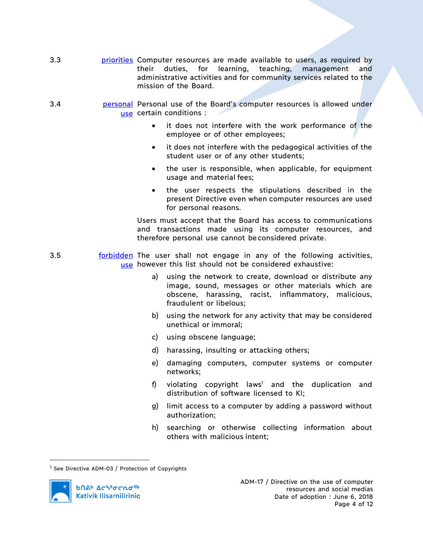- 3.3 **buila priorities** Computer resources are made available to users, as required by their duties, for learning, teaching, management and administrative activities and for community services related to the mission of the Board.
- 3.4 **personal Personal use of the Board's computer resources is allowed under** use certain conditions :
	- it does not interfere with the work performance of the employee or of other employees;
	- it does not interfere with the pedagogical activities of the student user or of any other students;
	- the user is responsible, when applicable, for equipment usage and material fees;
	- the user respects the stipulations described in the present Directive even when computer resources are used for personal reasons.

Users must accept that the Board has access to communications and transactions made using its computer resources, and therefore personal use cannot beconsidered private.

- 3.5 **forbidden** The user shall not engage in any of the following activities, use however this list should not be considered exhaustive:
	- a) using the network to create, download or distribute any image, sound, messages or other materials which are obscene, harassing, racist, inflammatory, malicious, fraudulent or libelous;
	- b) using the network for any activity that may be considered unethical or immoral;
	- c) using obscene language;
	- d) harassing, insulting or attacking others;
	- e) damaging computers, computer systems or computer networks;
	- f) violating copyright laws<sup>1</sup> and the duplication and distribution of software licensed to KI;
	- g) limit access to a computer by adding a password without authorization;
	- h) searching or otherwise collecting information about others with malicious intent;

 $^1$  See Directive ADM-03 / Protection of Copyrights

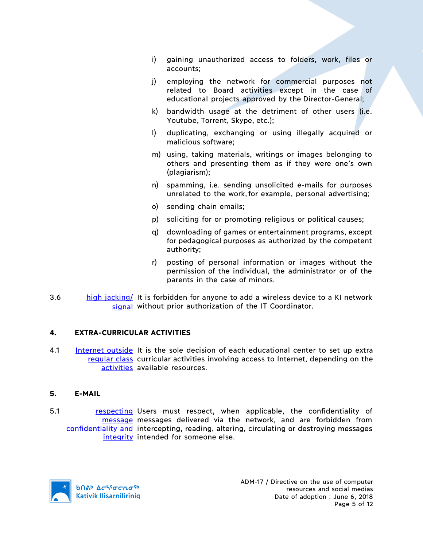- i) gaining unauthorized access to folders, work, files or accounts;
- j) employing the network for commercial purposes not related to Board activities except in the case of educational projects approved by the Director-General;
- k) bandwidth usage at the detriment of other users (i.e. Youtube, Torrent, Skype, etc.);
- l) duplicating, exchanging or using illegally acquired or malicious software;
- m) using, taking materials, writings or images belonging to others and presenting them as if they were one's own (plagiarism);
- n) spamming, i.e. sending unsolicited e-mails for purposes unrelated to the work,for example, personal advertising;
- o) sending chain emails;
- p) soliciting for or promoting religious or political causes;
- q) downloading of games or entertainment programs, except for pedagogical purposes as authorized by the competent authority;
- r) posting of personal information or images without the permission of the individual, the administrator or of the parents in the case of minors.
- 3.6 high jacking/ It is forbidden for anyone to add a wireless device to a KI network signal without prior authorization of the IT Coordinator.

### **4. EXTRA-CURRICULAR ACTIVITIES**

4.1 **Internet outside** It is the sole decision of each educational center to set up extra regular class curricular activities involving access to Internet, depending on the activities available resources.

### **5. E-MAIL**

5.1 **respecting Users must respect, when applicable, the confidentiality of** message messages delivered via the network, and are forbidden from confidentiality and intercepting, reading, altering, circulating or destroying messages integrity intended for someone else.

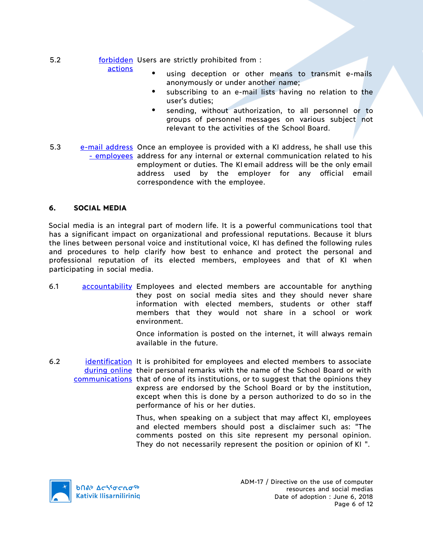- 5.2 **forbidden** Users are strictly prohibited from : actions
	- using deception or other means to transmit e-mails anonymously or under another name;
		- subscribing to an e-mail lists having no relation to the user's duties;
		- sending, without authorization, to all personnel or to groups of personnel messages on various subject not relevant to the activities of the School Board.
- 5.3 e-mail address Once an employee is provided with a KI address, he shall use this - employees address for any internal or external communication related to his employment or duties. The KI email address will be the only email address used by the employer for any official email correspondence with the employee.

### **6. SOCIAL MEDIA**

Social media is an integral part of modern life. It is a powerful communications tool that has a significant impact on organizational and professional reputations. Because it blurs the lines between personal voice and institutional voice, KI has defined the following rules and procedures to help clarify how best to enhance and protect the personal and professional reputation of its elected members, employees and that of KI when participating in social media.

6.1 accountability Employees and elected members are accountable for anything they post on social media sites and they should never share information with elected members, students or other staff members that they would not share in a school or work environment.

> Once information is posted on the internet, it will always remain available in the future.

6.2 identification It is prohibited for employees and elected members to associate during online their personal remarks with the name of the School Board or with communications that of one of its institutions, or to suggest that the opinions they express are endorsed by the School Board or by the institution, except when this is done by a person authorized to do so in the performance of his or her duties.

> Thus, when speaking on a subject that may affect KI, employees and elected members should post a disclaimer such as: "The comments posted on this site represent my personal opinion. They do not necessarily represent the position or opinion of KI ".

**b**Πል<sup>b</sup> Δςιγσς πο<sup>ς 6</sup> **Kativik Ilisarniliriniq**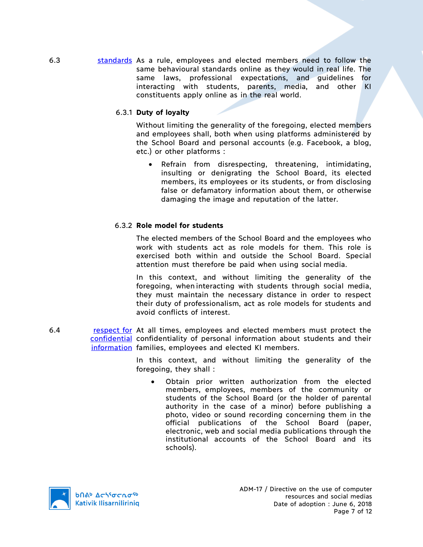6.3 standards As a rule, employees and elected members need to follow the same behavioural standards online as they would in real life. The same laws, professional expectations, and guidelines for interacting with students, parents, media, and other KI constituents apply online as in the real world.

## 6.3.1 **Duty of loyalty**

Without limiting the generality of the foregoing, elected members and employees shall, both when using platforms administered by the School Board and personal accounts (e.g. Facebook, a blog, etc.) or other platforms :

• Refrain from disrespecting, threatening, intimidating, insulting or denigrating the School Board, its elected members, its employees or its students, or from disclosing false or defamatory information about them, or otherwise damaging the image and reputation of the latter.

## 6.3.2 **Role model for students**

The elected members of the School Board and the employees who work with students act as role models for them. This role is exercised both within and outside the School Board. Special attention must therefore be paid when using social media.

In this context, and without limiting the generality of the foregoing, when interacting with students through social media, they must maintain the necessary distance in order to respect their duty of professionalism, act as role models for students and avoid conflicts of interest.

6.4 respect for At all times, employees and elected members must protect the confidential confidentiality of personal information about students and their information families, employees and elected KI members.

> In this context, and without limiting the generality of the foregoing, they shall :

• Obtain prior written authorization from the elected members, employees, members of the community or students of the School Board (or the holder of parental authority in the case of a minor) before publishing a photo, video or sound recording concerning them in the official publications of the School Board (paper, electronic, web and social media publications through the institutional accounts of the School Board and its schools).

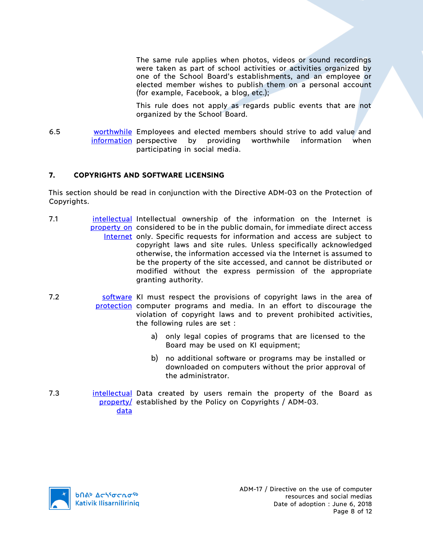The same rule applies when photos, videos or sound recordings were taken as part of school activities or activities organized by one of the School Board's establishments, and an employee or elected member wishes to publish them on a personal account (for example, Facebook, a blog, etc.);

This rule does not apply as regards public events that are not organized by the School Board.

6.5 worthwhile Employees and elected members should strive to add value and information perspective by providing worthwhile information when participating in social media.

## **7. COPYRIGHTS AND SOFTWARE LICENSING**

This section should be read in conjunction with the Directive ADM-03 on the Protection of Copyrights.

- 7.1 **intellectual Intellectual ownership of the information on the Internet is** property on considered to be in the public domain, for immediate direct access Internet only. Specific requests for information and access are subject to copyright laws and site rules. Unless specifically acknowledged otherwise, the information accessed via the Internet is assumed to be the property of the site accessed, and cannot be distributed or modified without the express permission of the appropriate granting authority.
- 7.2 Software KI must respect the provisions of copyright laws in the area of protection computer programs and media. In an effort to discourage the violation of copyright laws and to prevent prohibited activities, the following rules are set :
	- a) only legal copies of programs that are licensed to the Board may be used on KI equipment;
	- b) no additional software or programs may be installed or downloaded on computers without the prior approval of the administrator.
- 7.3 **intellectual Data created by users remain the property of the Board as** property/ established by the Policy on Copyrights / ADM-03. data

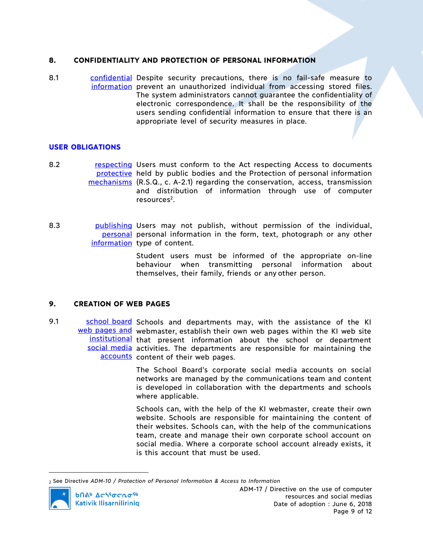### **8. CONFIDENTIALITY AND PROTECTION OF PERSONAL INFORMATION**

8.1 confidential Despite security precautions, there is no fail-safe measure to information prevent an unauthorized individual from accessing stored files. The system administrators cannot guarantee the confidentiality of electronic correspondence. It shall be the responsibility of the users sending confidential information to ensure that there is an appropriate level of security measures in place.

#### **USER OBLIGATIONS**

8.2 **respecting Users must conform to the Act respecting Access to documents** protective held by public bodies and the Protection of personal information mechanisms (R.S.Q., c. A-2.1) regarding the conservation, access, transmission and distribution of information through use of computer resources2.

8.3 bublishing Users may not publish, without permission of the individual, personal personal information in the form, text, photograph or any other information type of content.

> Student users must be informed of the appropriate on-line behaviour when transmitting personal information about themselves, their family, friends or any other person.

### **9. CREATION OF WEB PAGES**

9.1 School board Schools and departments may, with the assistance of the KI web pages and webmaster, establish their own web pages within the KI web site institutional that present information about the school or department social media activities. The departments are responsible for maintaining the accounts content of their web pages.

> The School Board's corporate social media accounts on social networks are managed by the communications team and content is developed in collaboration with the departments and schools where applicable.

> Schools can, with the help of the KI webmaster, create their own website. Schools are responsible for maintaining the content of their websites. Schools can, with the help of the communications team, create and manage their own corporate school account on social media. Where a corporate school account already exists, it is this account that must be used.

<sup>2</sup> See Directive *ADM-10 / Protection of Personal Information & Access to Information*



 $\overline{a}$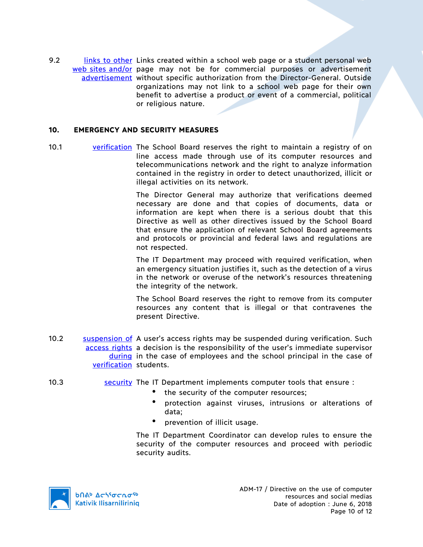9.2 links to other Links created within a school web page or a student personal web web sites and/or page may not be for commercial purposes or advertisement advertisement without specific authorization from the Director-General. Outside organizations may not link to a school web page for their own benefit to advertise a product or event of a commercial, political or religious nature.

#### **10. EMERGENCY AND SECURITY MEASURES**

10.1 verification The School Board reserves the right to maintain a registry of on line access made through use of its computer resources and telecommunications network and the right to analyze information contained in the registry in order to detect unauthorized, illicit or illegal activities on its network.

> The Director General may authorize that verifications deemed necessary are done and that copies of documents, data or information are kept when there is a serious doubt that this Directive as well as other directives issued by the School Board that ensure the application of relevant School Board agreements and protocols or provincial and federal laws and regulations are not respected.

> The IT Department may proceed with required verification, when an emergency situation justifies it, such as the detection of a virus in the network or overuse of the network's resources threatening the integrity of the network.

> The School Board reserves the right to remove from its computer resources any content that is illegal or that contravenes the present Directive.

- 10.2 Suspension of A user's access rights may be suspended during verification. Such access rights a decision is the responsibility of the user's immediate supervisor during in the case of employees and the school principal in the case of verification students.
- 10.3 security The IT Department implements computer tools that ensure :
	- the security of the computer resources;
	- protection against viruses, intrusions or alterations of data;
	- prevention of illicit usage.

The IT Department Coordinator can develop rules to ensure the security of the computer resources and proceed with periodic security audits.

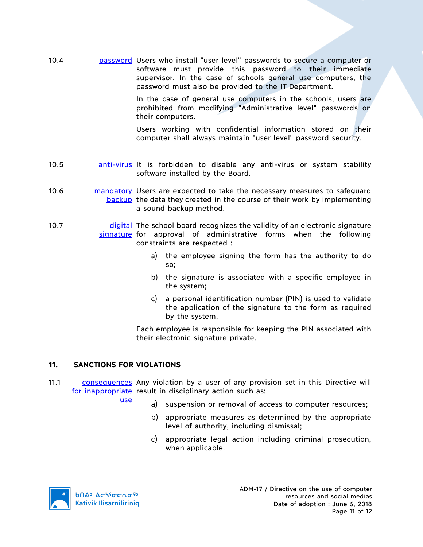10.4 password Users who install "user level" passwords to secure a computer or software must provide this password to their immediate supervisor. In the case of schools general use computers, the password must also be provided to the IT Department.

> In the case of general use computers in the schools, users are prohibited from modifying "Administrative level" passwords on their computers.

> Users working with confidential information stored on their computer shall always maintain "user level" password security.

- 10.5 **anti-virus It is forbidden to disable any anti-virus or system stability** software installed by the Board.
- 10.6 **mandatory** Users are expected to take the necessary measures to safeguard backup the data they created in the course of their work by implementing a sound backup method.
- 10.7 **digital** The school board recognizes the validity of an electronic signature signature for approval of administrative forms when the following constraints are respected :
	- a) the employee signing the form has the authority to do so;
	- b) the signature is associated with a specific employee in the system;
	- c) a personal identification number (PIN) is used to validate the application of the signature to the form as required by the system.

Each employee is responsible for keeping the PIN associated with their electronic signature private.

### **11. SANCTIONS FOR VIOLATIONS**

- 11.1 consequences Any violation by a user of any provision set in this Directive will for inappropriate result in disciplinary action such as:
	- use
- a) suspension or removal of access to computer resources;
	- b) appropriate measures as determined by the appropriate level of authority, including dismissal;
	- c) appropriate legal action including criminal prosecution, when applicable.